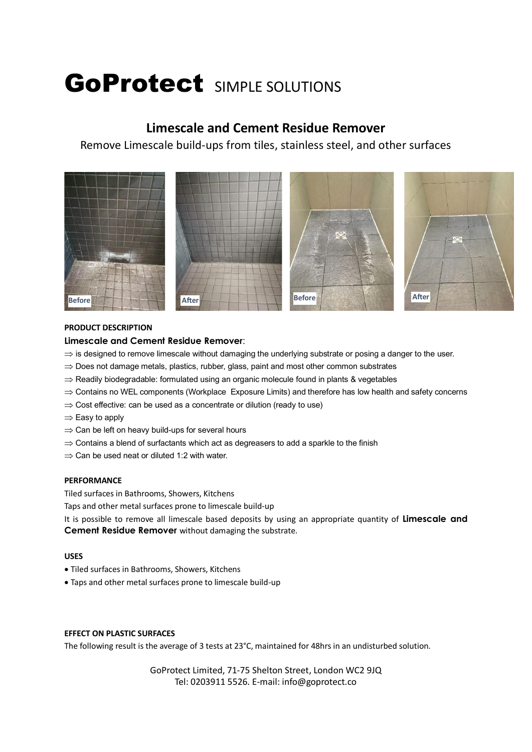# GoProtect SIMPLE SOLUTIONS

# **Limescale and Cement Residue Remover**

Remove Limescale build-ups from tiles, stainless steel, and other surfaces



# **PRODUCT DESCRIPTION**

# **Limescale and Cement Residue Remover**:

- $\Rightarrow$  is designed to remove limescale without damaging the underlying substrate or posing a danger to the user.
- $\Rightarrow$  Does not damage metals, plastics, rubber, glass, paint and most other common substrates
- $\Rightarrow$  Readily biodegradable: formulated using an organic molecule found in plants & vegetables
- $\Rightarrow$  Contains no WEL components (Workplace Exposure Limits) and therefore has low health and safety concerns
- $\Rightarrow$  Cost effective: can be used as a concentrate or dilution (ready to use)
- $\Rightarrow$  Easy to apply
- $\Rightarrow$  Can be left on heavy build-ups for several hours
- $\Rightarrow$  Contains a blend of surfactants which act as degreasers to add a sparkle to the finish
- $\Rightarrow$  Can be used neat or diluted 1:2 with water.

# **PERFORMANCE**

Tiled surfaces in Bathrooms, Showers, Kitchens

Taps and other metal surfaces prone to limescale build-up

It is possible to remove all limescale based deposits by using an appropriate quantity of **Limescale and Cement Residue Remover** without damaging the substrate.

# **USES**

- Tiled surfaces in Bathrooms, Showers, Kitchens
- Taps and other metal surfaces prone to limescale build-up

# **EFFECT ON PLASTIC SURFACES**

The following result is the average of 3 tests at 23°C, maintained for 48hrs in an undisturbed solution.

GoProtect Limited, 71-75 Shelton Street, London WC2 9JQ Tel: 0203911 5526. E-mail: info@goprotect.co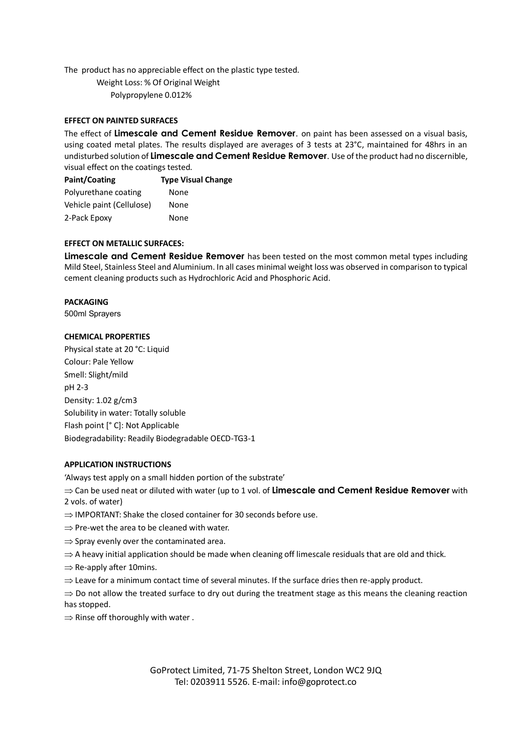The product has no appreciable effect on the plastic type tested.

 Weight Loss: % Of Original Weight Polypropylene 0.012%

# **EFFECT ON PAINTED SURFACES**

The effect of **Limescale and Cement Residue Remover**. on paint has been assessed on a visual basis, using coated metal plates. The results displayed are averages of 3 tests at 23°C, maintained for 48hrs in an undisturbed solution of **Limescale and Cement Residue Remover**. Use of the product had no discernible, visual effect on the coatings tested.

| Paint/Coating             | <b>Type Visual Change</b> |
|---------------------------|---------------------------|
| Polyurethane coating      | None                      |
| Vehicle paint (Cellulose) | None                      |
| 2-Pack Epoxy              | None                      |

#### **EFFECT ON METALLIC SURFACES:**

**Limescale and Cement Residue Remover** has been tested on the most common metal types including Mild Steel, Stainless Steel and Aluminium. In all cases minimal weight loss was observed in comparison to typical cement cleaning products such as Hydrochloric Acid and Phosphoric Acid.

#### **PACKAGING**

500ml Sprayers

#### **CHEMICAL PROPERTIES**

Physical state at 20 °C: Liquid Colour: Pale Yellow Smell: Slight/mild pH 2-3 Density: 1.02 g/cm3 Solubility in water: Totally soluble Flash point [° C]: Not Applicable Biodegradability: Readily Biodegradable OECD-TG3-1

#### **APPLICATION INSTRUCTIONS**

'Always test apply on a small hidden portion of the substrate'

 $\Rightarrow$  Can be used neat or diluted with water (up to 1 vol. of **Limescale and Cement Residue Remover** with 2 vols. of water)

- $\Rightarrow$  IMPORTANT: Shake the closed container for 30 seconds before use.
- $\Rightarrow$  Pre-wet the area to be cleaned with water.
- $\Rightarrow$  Spray evenly over the contaminated area.
- $\Rightarrow$  A heavy initial application should be made when cleaning off limescale residuals that are old and thick.
- $\Rightarrow$  Re-apply after 10mins.
- $\Rightarrow$  Leave for a minimum contact time of several minutes. If the surface dries then re-apply product.

 $\Rightarrow$  Do not allow the treated surface to dry out during the treatment stage as this means the cleaning reaction has stopped.

 $\Rightarrow$  Rinse off thoroughly with water.

GoProtect Limited, 71-75 Shelton Street, London WC2 9JQ Tel: 0203911 5526. E-mail: info@goprotect.co